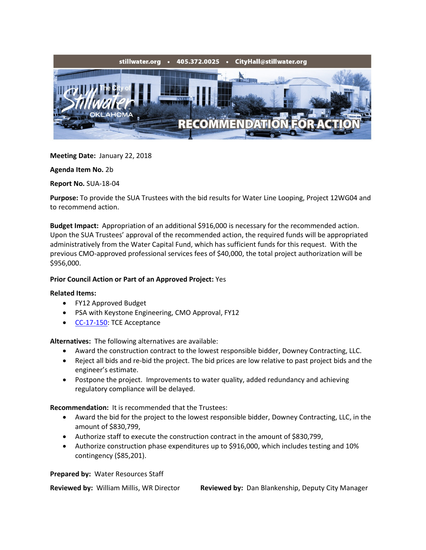

**Meeting Date:** January 22, 2018

**Agenda Item No.** 2b

**Report No.** SUA-18-04

**Purpose:** To provide the SUA Trustees with the bid results for Water Line Looping, Project 12WG04 and to recommend action.

**Budget Impact:** Appropriation of an additional \$916,000 is necessary for the recommended action. Upon the SUA Trustees' approval of the recommended action, the required funds will be appropriated administratively from the Water Capital Fund, which has sufficient funds for this request. With the previous CMO-approved professional services fees of \$40,000, the total project authorization will be \$956,000.

## **Prior Council Action or Part of an Approved Project:** Yes

## **Related Items:**

- FY12 Approved Budget
- PSA with Keystone Engineering, CMO Approval, FY12
- [CC-17-150:](http://stillwater.org/files/agenda/city-council/2017/110617/CC-17-150-Temp-Construction-Easements-Water.pdf) TCE Acceptance

**Alternatives:** The following alternatives are available:

- Award the construction contract to the lowest responsible bidder, Downey Contracting, LLC.
- Reject all bids and re-bid the project. The bid prices are low relative to past project bids and the engineer's estimate.
- Postpone the project. Improvements to water quality, added redundancy and achieving regulatory compliance will be delayed.

**Recommendation:** It is recommended that the Trustees:

- Award the bid for the project to the lowest responsible bidder, Downey Contracting, LLC, in the amount of \$830,799,
- Authorize staff to execute the construction contract in the amount of \$830,799,
- Authorize construction phase expenditures up to \$916,000, which includes testing and 10% contingency (\$85,201).

**Prepared by:** Water Resources Staff

**Reviewed by:** William Millis, WR Director **Reviewed by:** Dan Blankenship, Deputy City Manager